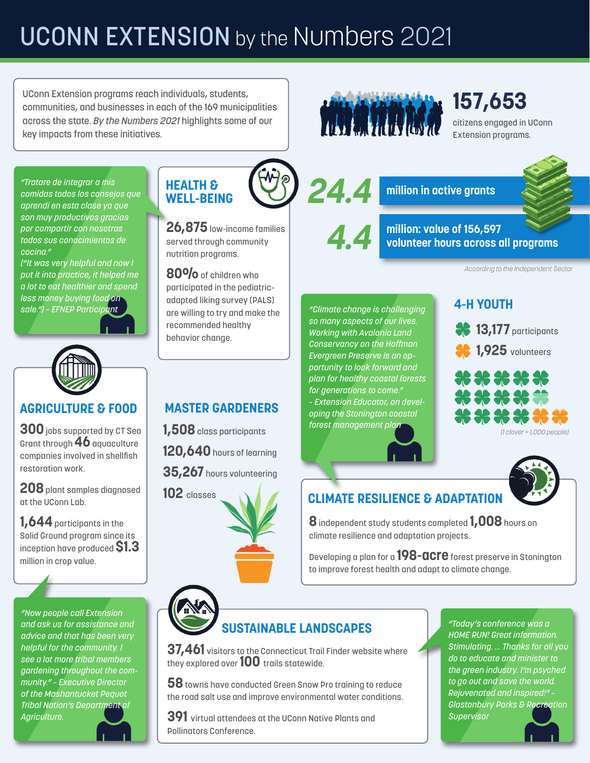# **UCONN EXTENSION** by the NUMbers 2021

UConn Extension programs reach individuals, students, communities, and businesses in each of the 169 municipalities across the state. *By the Numbers 2021* highlights some of our key impacts from these initiatives.

*"Tratare de integrar a mis comidas todos los consejos que aprendi en esta clase ya que son muy productivos gracias por compartir con nosotras todos sus conocimientos de cocina."* 

*("It was very helpful and now I put it into practice, it helped me a lot to eat healthier and spend less money buying food on sale.") – EFNEP Participant*



#### **AGRICULTURE & FOOD**

**300** jobs supported by CT Sea Grant through **46** aquaculture companies involved in shellfish restoration work.

**208** plant samples diagnosed at the UConn Lab.

**1,644** participants in the Solid Ground program since its inception have produced **\$1.3**  million in crop value.

*"Now people call Extension and ask us for assistance and advice and that has been very helpful for the community. I see a lot more tribal members gardening throughout the community." – Executive Director of the Mashantucket Pequot Tribal Nation's Department of Agriculture.*



**26,875** low-income families served through community nutrition programs.

**80%** of children who participated in the pediatricadapted liking survey (PALS) are willing to try and make the recommended healthy behavior change.



# **157,653**

citizens engaged in UConn Extension programs.

#### **million in active grants 24.4**

**4.4 million: value of 156,597 volunteer hours across all programs**

*According to the Independent Sector*

*"Climate change is challenging so many aspects of our lives. Working with Avalonia Land Conservancy on the Hoffman Evergreen Preserve is an opportunity to look forward and plan for healthy coastal forests for generations to come." – Extension Educator, on developing the Stonington coastal forest management plan*

### **4-H YOUTH**



**1,925** volunteers



# **CLIMATE RESILIENCE & ADAPTATION**

**8** independent study students completed **1,008** hours on climate resilience and adaptation projects.

Developing a plan for a **198-acre** forest preserve in Stonington to improve forest health and adapt to climate change.

# **SUSTAINABLE LANDSCAPES**

**37,461** visitors to the Connecticut Trail Finder website where they explored over **100** trails statewide.

**58** towns have conducted Green Snow Pro training to reduce the road salt use and improve environmental water conditions.

**391** virtual attendees at the UConn Native Plants and Pollinators Conference.

*"Today's conference was a HOME RUN! Great information. Stimulating. … Thanks for all you do to educate and minister to the green industry. I'm psyched to go out and save the world. Rejuvenated and inspired!" – Glastonbury Parks & Recreation Supervisor*

### **MASTER GARDENERS**

- **1,508** class participants
- **120,640** hours of learning

**35,267** hours volunteering

**102** classes